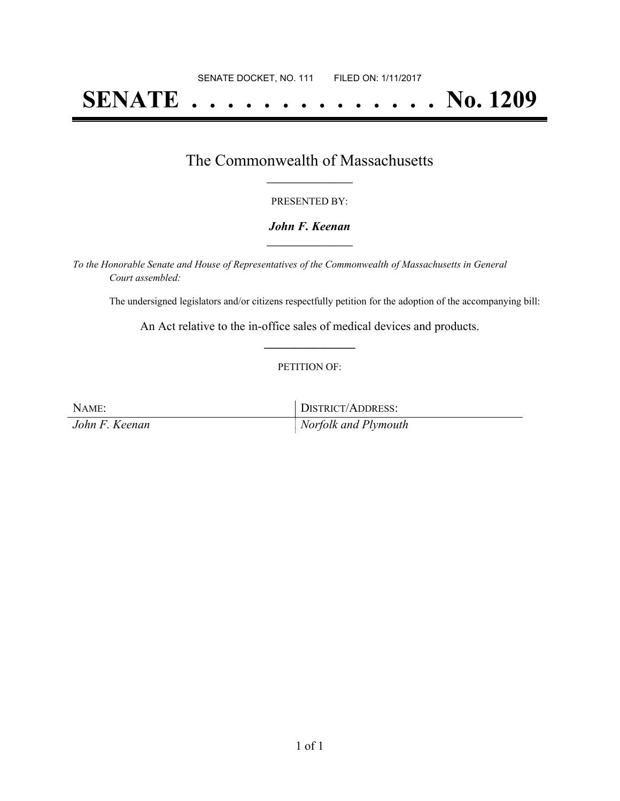# **SENATE . . . . . . . . . . . . . . No. 1209**

## The Commonwealth of Massachusetts **\_\_\_\_\_\_\_\_\_\_\_\_\_\_\_\_\_**

#### PRESENTED BY:

#### *John F. Keenan* **\_\_\_\_\_\_\_\_\_\_\_\_\_\_\_\_\_**

*To the Honorable Senate and House of Representatives of the Commonwealth of Massachusetts in General Court assembled:*

The undersigned legislators and/or citizens respectfully petition for the adoption of the accompanying bill:

An Act relative to the in-office sales of medical devices and products. **\_\_\_\_\_\_\_\_\_\_\_\_\_\_\_**

#### PETITION OF:

NAME: DISTRICT/ADDRESS: *John F. Keenan Norfolk and Plymouth*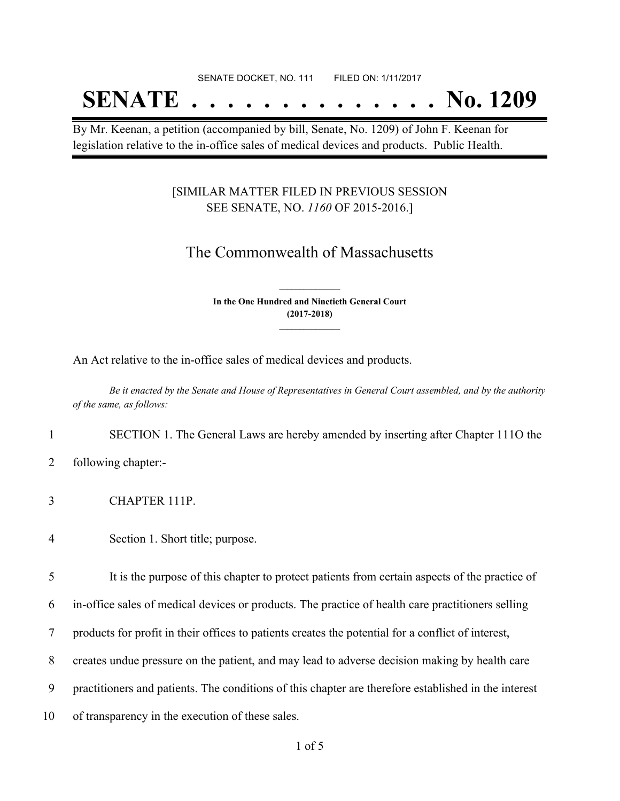#### SENATE DOCKET, NO. 111 FILED ON: 1/11/2017

## **SENATE . . . . . . . . . . . . . . No. 1209**

By Mr. Keenan, a petition (accompanied by bill, Senate, No. 1209) of John F. Keenan for legislation relative to the in-office sales of medical devices and products. Public Health.

### [SIMILAR MATTER FILED IN PREVIOUS SESSION SEE SENATE, NO. *1160* OF 2015-2016.]

### The Commonwealth of Massachusetts

**In the One Hundred and Ninetieth General Court (2017-2018) \_\_\_\_\_\_\_\_\_\_\_\_\_\_\_**

**\_\_\_\_\_\_\_\_\_\_\_\_\_\_\_**

An Act relative to the in-office sales of medical devices and products.

Be it enacted by the Senate and House of Representatives in General Court assembled, and by the authority *of the same, as follows:*

1 SECTION 1. The General Laws are hereby amended by inserting after Chapter 111O the

- 2 following chapter:-
- 3 CHAPTER 111P.
- 4 Section 1. Short title; purpose.

5 It is the purpose of this chapter to protect patients from certain aspects of the practice of

6 in-office sales of medical devices or products. The practice of health care practitioners selling

7 products for profit in their offices to patients creates the potential for a conflict of interest,

8 creates undue pressure on the patient, and may lead to adverse decision making by health care

9 practitioners and patients. The conditions of this chapter are therefore established in the interest

10 of transparency in the execution of these sales.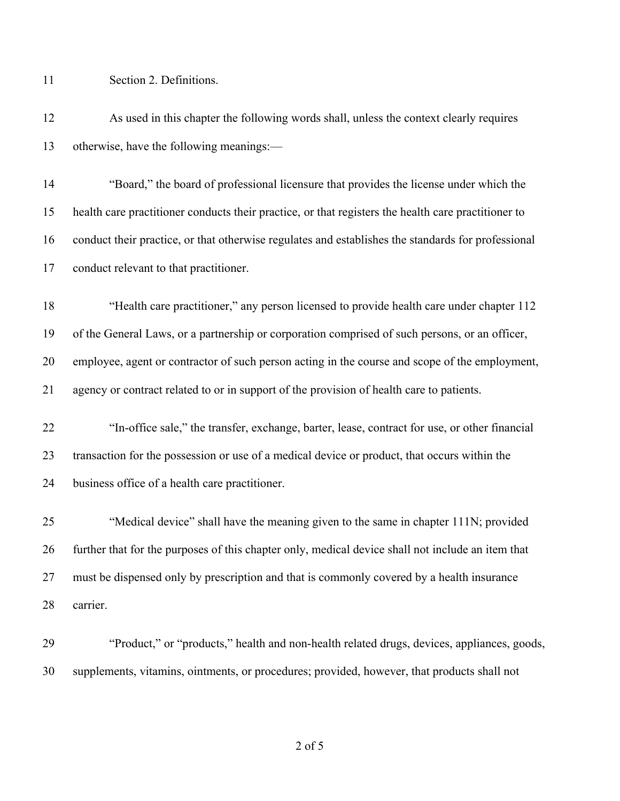Section 2. Definitions.

 As used in this chapter the following words shall, unless the context clearly requires otherwise, have the following meanings:—

 "Board," the board of professional licensure that provides the license under which the health care practitioner conducts their practice, or that registers the health care practitioner to conduct their practice, or that otherwise regulates and establishes the standards for professional conduct relevant to that practitioner.

 "Health care practitioner," any person licensed to provide health care under chapter 112 of the General Laws, or a partnership or corporation comprised of such persons, or an officer, employee, agent or contractor of such person acting in the course and scope of the employment, agency or contract related to or in support of the provision of health care to patients.

 "In-office sale," the transfer, exchange, barter, lease, contract for use, or other financial transaction for the possession or use of a medical device or product, that occurs within the business office of a health care practitioner.

 "Medical device" shall have the meaning given to the same in chapter 111N; provided further that for the purposes of this chapter only, medical device shall not include an item that must be dispensed only by prescription and that is commonly covered by a health insurance carrier.

 "Product," or "products," health and non-health related drugs, devices, appliances, goods, supplements, vitamins, ointments, or procedures; provided, however, that products shall not

of 5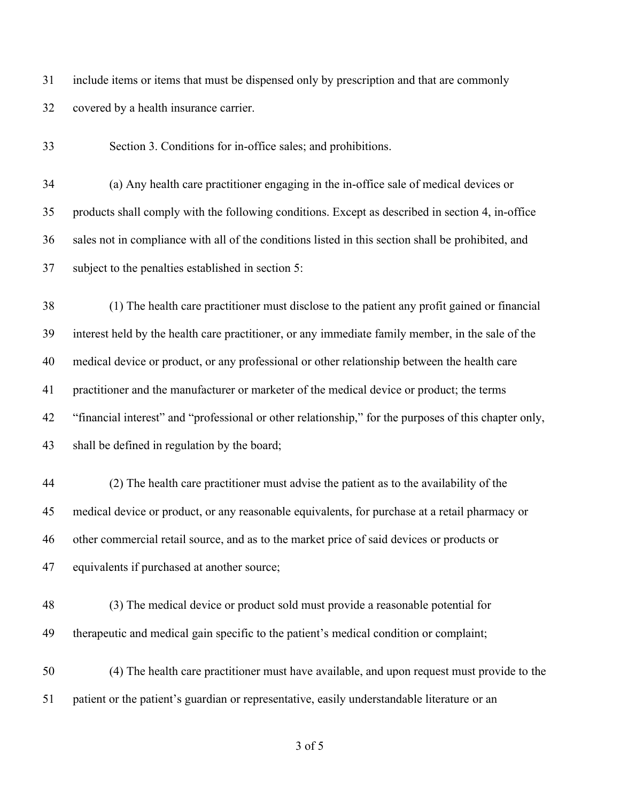include items or items that must be dispensed only by prescription and that are commonly covered by a health insurance carrier.

Section 3. Conditions for in-office sales; and prohibitions.

 (a) Any health care practitioner engaging in the in-office sale of medical devices or products shall comply with the following conditions. Except as described in section 4, in-office sales not in compliance with all of the conditions listed in this section shall be prohibited, and subject to the penalties established in section 5:

 (1) The health care practitioner must disclose to the patient any profit gained or financial interest held by the health care practitioner, or any immediate family member, in the sale of the medical device or product, or any professional or other relationship between the health care practitioner and the manufacturer or marketer of the medical device or product; the terms "financial interest" and "professional or other relationship," for the purposes of this chapter only, shall be defined in regulation by the board;

 (2) The health care practitioner must advise the patient as to the availability of the medical device or product, or any reasonable equivalents, for purchase at a retail pharmacy or other commercial retail source, and as to the market price of said devices or products or equivalents if purchased at another source;

 (3) The medical device or product sold must provide a reasonable potential for therapeutic and medical gain specific to the patient's medical condition or complaint;

 (4) The health care practitioner must have available, and upon request must provide to the patient or the patient's guardian or representative, easily understandable literature or an

of 5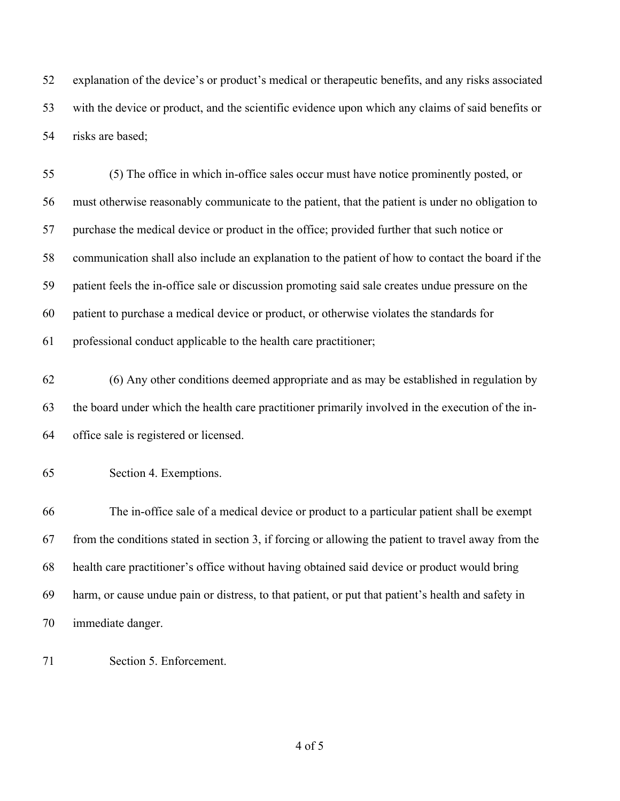explanation of the device's or product's medical or therapeutic benefits, and any risks associated with the device or product, and the scientific evidence upon which any claims of said benefits or risks are based;

 (5) The office in which in-office sales occur must have notice prominently posted, or must otherwise reasonably communicate to the patient, that the patient is under no obligation to purchase the medical device or product in the office; provided further that such notice or communication shall also include an explanation to the patient of how to contact the board if the patient feels the in-office sale or discussion promoting said sale creates undue pressure on the patient to purchase a medical device or product, or otherwise violates the standards for professional conduct applicable to the health care practitioner;

 (6) Any other conditions deemed appropriate and as may be established in regulation by the board under which the health care practitioner primarily involved in the execution of the in-office sale is registered or licensed.

 The in-office sale of a medical device or product to a particular patient shall be exempt from the conditions stated in section 3, if forcing or allowing the patient to travel away from the health care practitioner's office without having obtained said device or product would bring harm, or cause undue pain or distress, to that patient, or put that patient's health and safety in immediate danger.

Section 5. Enforcement.

of 5

Section 4. Exemptions.